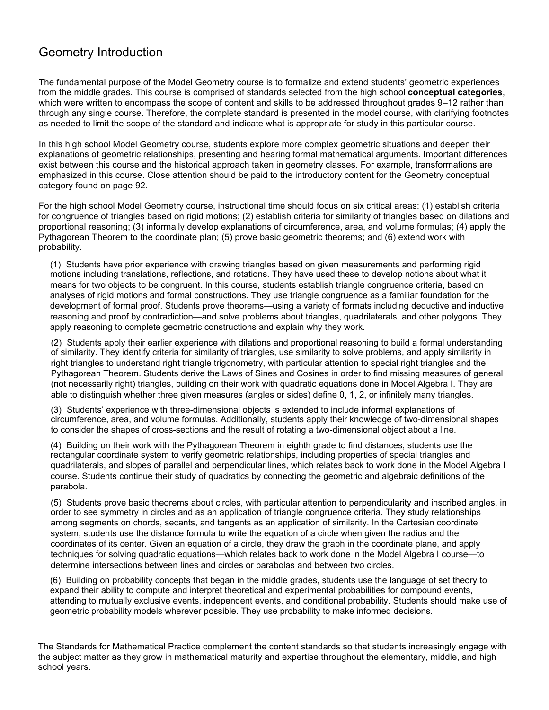# Geometry Introduction

The fundamental purpose of the Model Geometry course is to formalize and extend students' geometric experiences from the middle grades. This course is comprised of standards selected from the high school **conceptual categories**, which were written to encompass the scope of content and skills to be addressed throughout grades 9–12 rather than through any single course. Therefore, the complete standard is presented in the model course, with clarifying footnotes as needed to limit the scope of the standard and indicate what is appropriate for study in this particular course.

In this high school Model Geometry course, students explore more complex geometric situations and deepen their explanations of geometric relationships, presenting and hearing formal mathematical arguments. Important differences exist between this course and the historical approach taken in geometry classes. For example, transformations are emphasized in this course. Close attention should be paid to the introductory content for the Geometry conceptual category found on page 92.

For the high school Model Geometry course, instructional time should focus on six critical areas: (1) establish criteria for congruence of triangles based on rigid motions; (2) establish criteria for similarity of triangles based on dilations and proportional reasoning; (3) informally develop explanations of circumference, area, and volume formulas; (4) apply the Pythagorean Theorem to the coordinate plan; (5) prove basic geometric theorems; and (6) extend work with probability.

(1) Students have prior experience with drawing triangles based on given measurements and performing rigid motions including translations, reflections, and rotations. They have used these to develop notions about what it means for two objects to be congruent. In this course, students establish triangle congruence criteria, based on analyses of rigid motions and formal constructions. They use triangle congruence as a familiar foundation for the development of formal proof. Students prove theorems—using a variety of formats including deductive and inductive reasoning and proof by contradiction—and solve problems about triangles, quadrilaterals, and other polygons. They apply reasoning to complete geometric constructions and explain why they work.

(2) Students apply their earlier experience with dilations and proportional reasoning to build a formal understanding of similarity. They identify criteria for similarity of triangles, use similarity to solve problems, and apply similarity in right triangles to understand right triangle trigonometry, with particular attention to special right triangles and the Pythagorean Theorem. Students derive the Laws of Sines and Cosines in order to find missing measures of general (not necessarily right) triangles, building on their work with quadratic equations done in Model Algebra I. They are able to distinguish whether three given measures (angles or sides) define 0, 1, 2, or infinitely many triangles.

(3) Students' experience with three-dimensional objects is extended to include informal explanations of circumference, area, and volume formulas. Additionally, students apply their knowledge of two-dimensional shapes to consider the shapes of cross-sections and the result of rotating a two-dimensional object about a line.

(4) Building on their work with the Pythagorean Theorem in eighth grade to find distances, students use the rectangular coordinate system to verify geometric relationships, including properties of special triangles and quadrilaterals, and slopes of parallel and perpendicular lines, which relates back to work done in the Model Algebra I course. Students continue their study of quadratics by connecting the geometric and algebraic definitions of the parabola.

(5) Students prove basic theorems about circles, with particular attention to perpendicularity and inscribed angles, in order to see symmetry in circles and as an application of triangle congruence criteria. They study relationships among segments on chords, secants, and tangents as an application of similarity. In the Cartesian coordinate system, students use the distance formula to write the equation of a circle when given the radius and the coordinates of its center. Given an equation of a circle, they draw the graph in the coordinate plane, and apply techniques for solving quadratic equations—which relates back to work done in the Model Algebra I course—to determine intersections between lines and circles or parabolas and between two circles.

(6) Building on probability concepts that began in the middle grades, students use the language of set theory to expand their ability to compute and interpret theoretical and experimental probabilities for compound events, attending to mutually exclusive events, independent events, and conditional probability. Students should make use of geometric probability models wherever possible. They use probability to make informed decisions.

The Standards for Mathematical Practice complement the content standards so that students increasingly engage with the subject matter as they grow in mathematical maturity and expertise throughout the elementary, middle, and high school years.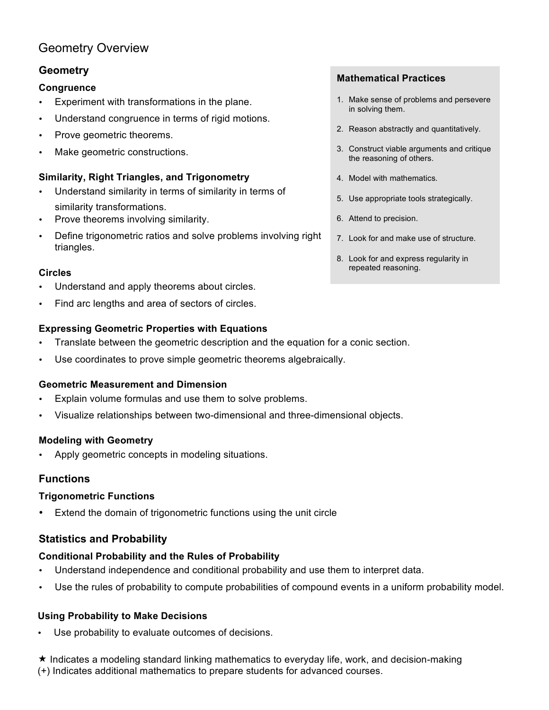# Geometry Overview

## **Geometry**

## **Congruence**

- Experiment with transformations in the plane.
- Understand congruence in terms of rigid motions.
- Prove geometric theorems.
- Make geometric constructions.

## **Similarity, Right Triangles, and Trigonometry**

- Understand similarity in terms of similarity in terms of similarity transformations.
- Prove theorems involving similarity.
- Define trigonometric ratios and solve problems involving right triangles.

## **Circles**

- Understand and apply theorems about circles.
- Find arc lengths and area of sectors of circles.

## **Expressing Geometric Properties with Equations**

- Translate between the geometric description and the equation for a conic section.
- Use coordinates to prove simple geometric theorems algebraically.

## **Geometric Measurement and Dimension**

- Explain volume formulas and use them to solve problems.
- Visualize relationships between two-dimensional and three-dimensional objects.

## **Modeling with Geometry**

Apply geometric concepts in modeling situations.

## **Functions**

## **Trigonometric Functions**

Extend the domain of trigonometric functions using the unit circle

## **Statistics and Probability**

## **Conditional Probability and the Rules of Probability**

- Understand independence and conditional probability and use them to interpret data.
- Use the rules of probability to compute probabilities of compound events in a uniform probability model.

## **Using Probability to Make Decisions**

- Use probability to evaluate outcomes of decisions.
- $\star$  Indicates a modeling standard linking mathematics to everyday life, work, and decision-making (+) Indicates additional mathematics to prepare students for advanced courses.

## **Mathematical Practices**

- 1. Make sense of problems and persevere in solving them.
- 2. Reason abstractly and quantitatively.
- 3. Construct viable arguments and critique the reasoning of others.
- 4. Model with mathematics.
- 5. Use appropriate tools strategically.
- 6. Attend to precision.
- 7. Look for and make use of structure.
- 8. Look for and express regularity in repeated reasoning.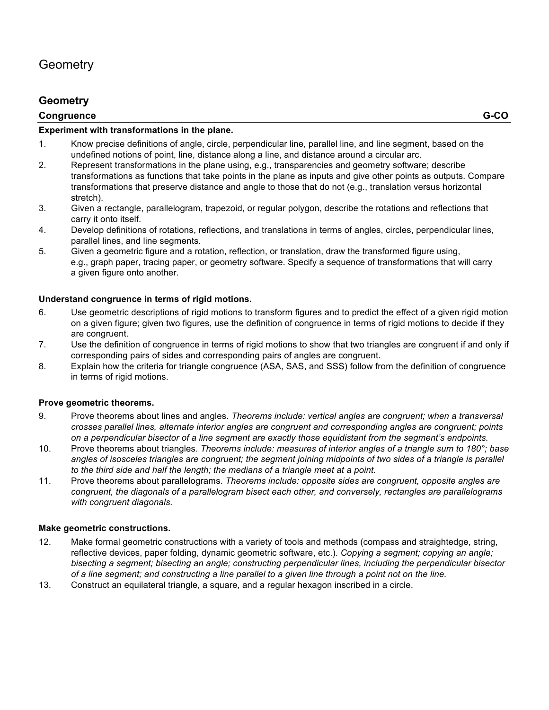## **Geometry**

### **Congruence G-CO**

#### **Experiment with transformations in the plane.**

- 1. Know precise definitions of angle, circle, perpendicular line, parallel line, and line segment, based on the undefined notions of point, line, distance along a line, and distance around a circular arc.
- 2. Represent transformations in the plane using, e.g., transparencies and geometry software; describe transformations as functions that take points in the plane as inputs and give other points as outputs. Compare transformations that preserve distance and angle to those that do not (e.g., translation versus horizontal stretch).
- 3. Given a rectangle, parallelogram, trapezoid, or regular polygon, describe the rotations and reflections that carry it onto itself.
- 4. Develop definitions of rotations, reflections, and translations in terms of angles, circles, perpendicular lines, parallel lines, and line segments.
- 5. Given a geometric figure and a rotation, reflection, or translation, draw the transformed figure using, e.g., graph paper, tracing paper, or geometry software. Specify a sequence of transformations that will carry a given figure onto another.

#### **Understand congruence in terms of rigid motions.**

- 6. Use geometric descriptions of rigid motions to transform figures and to predict the effect of a given rigid motion on a given figure; given two figures, use the definition of congruence in terms of rigid motions to decide if they are congruent.
- 7. Use the definition of congruence in terms of rigid motions to show that two triangles are congruent if and only if corresponding pairs of sides and corresponding pairs of angles are congruent.
- 8. Explain how the criteria for triangle congruence (ASA, SAS, and SSS) follow from the definition of congruence in terms of rigid motions.

#### **Prove geometric theorems.**

- 9. Prove theorems about lines and angles. *Theorems include: vertical angles are congruent; when a transversal crosses parallel lines, alternate interior angles are congruent and corresponding angles are congruent; points on a perpendicular bisector of a line segment are exactly those equidistant from the segment's endpoints.*
- 10. Prove theorems about triangles. *Theorems include: measures of interior angles of a triangle sum to 180°; base* angles of isosceles triangles are congruent; the segment joining midpoints of two sides of a triangle is parallel *to the third side and half the length; the medians of a triangle meet at a point.*
- 11. Prove theorems about parallelograms. *Theorems include: opposite sides are congruent, opposite angles are congruent, the diagonals of a parallelogram bisect each other, and conversely, rectangles are parallelograms with congruent diagonals.*

#### **Make geometric constructions.**

- 12. Make formal geometric constructions with a variety of tools and methods (compass and straightedge, string, reflective devices, paper folding, dynamic geometric software, etc.). *Copying a segment; copying an angle; bisecting a segment; bisecting an angle; constructing perpendicular lines, including the perpendicular bisector of a line segment; and constructing a line parallel to a given line through a point not on the line.*
- 13. Construct an equilateral triangle, a square, and a regular hexagon inscribed in a circle.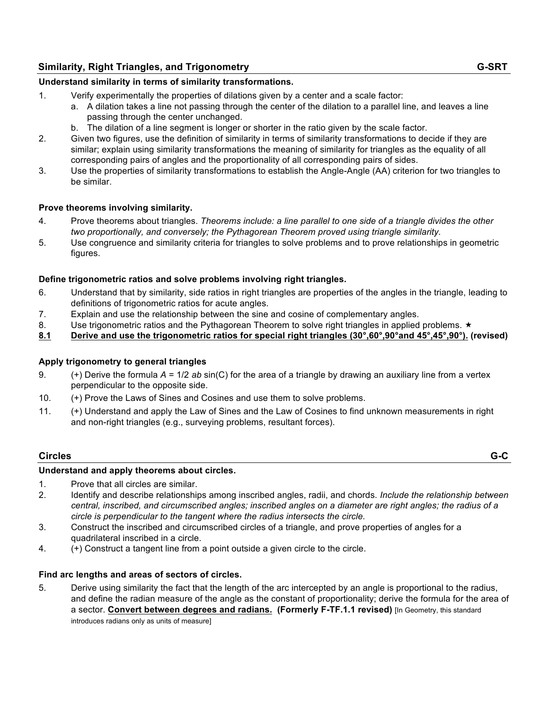## **Similarity, Right Triangles, and Trigonometry G-SRT**

## **Understand similarity in terms of similarity transformations.**

- 1. Verify experimentally the properties of dilations given by a center and a scale factor:
	- a. A dilation takes a line not passing through the center of the dilation to a parallel line, and leaves a line passing through the center unchanged.
	- b. The dilation of a line segment is longer or shorter in the ratio given by the scale factor.
- 2. Given two figures, use the definition of similarity in terms of similarity transformations to decide if they are similar; explain using similarity transformations the meaning of similarity for triangles as the equality of all corresponding pairs of angles and the proportionality of all corresponding pairs of sides.
- 3. Use the properties of similarity transformations to establish the Angle-Angle (AA) criterion for two triangles to be similar.

## **Prove theorems involving similarity.**

- 4. Prove theorems about triangles. *Theorems include: a line parallel to one side of a triangle divides the other two proportionally, and conversely; the Pythagorean Theorem proved using triangle similarity.*
- 5. Use congruence and similarity criteria for triangles to solve problems and to prove relationships in geometric figures.

## **Define trigonometric ratios and solve problems involving right triangles.**

- 6. Understand that by similarity, side ratios in right triangles are properties of the angles in the triangle, leading to definitions of trigonometric ratios for acute angles.
- 7. Explain and use the relationship between the sine and cosine of complementary angles.
- 8. Use trigonometric ratios and the Pythagorean Theorem to solve right triangles in applied problems.  $\star$
- **8.1 Derive and use the trigonometric ratios for special right triangles (30°,60°,90°and 45°,45°,90°). (revised)**

## **Apply trigonometry to general triangles**

- 9. (+) Derive the formula *A* = 1/2 *ab* sin(C) for the area of a triangle by drawing an auxiliary line from a vertex perpendicular to the opposite side.
- 10. (+) Prove the Laws of Sines and Cosines and use them to solve problems.
- 11. (+) Understand and apply the Law of Sines and the Law of Cosines to find unknown measurements in right and non-right triangles (e.g., surveying problems, resultant forces).

## **Circles G-C**

## **Understand and apply theorems about circles.**

- 1. Prove that all circles are similar.
- 2. Identify and describe relationships among inscribed angles, radii, and chords. *Include the relationship between central, inscribed, and circumscribed angles; inscribed angles on a diameter are right angles; the radius of a circle is perpendicular to the tangent where the radius intersects the circle.*
- 3. Construct the inscribed and circumscribed circles of a triangle, and prove properties of angles for a quadrilateral inscribed in a circle.
- 4. (+) Construct a tangent line from a point outside a given circle to the circle.

#### **Find arc lengths and areas of sectors of circles.**

5. Derive using similarity the fact that the length of the arc intercepted by an angle is proportional to the radius, and define the radian measure of the angle as the constant of proportionality; derive the formula for the area of a sector. **Convert between degrees and radians. (Formerly F-TF.1.1 revised)** [In Geometry, this standard introduces radians only as units of measure]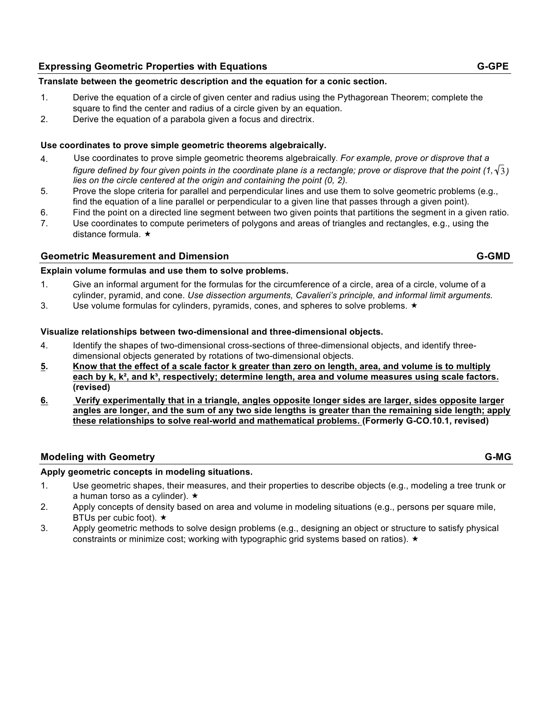### **Expressing Geometric Properties with Equations GEOMER AND THE SERVICE OF GEOMETRIC GEOMETRIC GEOMETRIC GEOMETRIC**

#### **Translate between the geometric description and the equation for a conic section.**

- 1. Derive the equation of a circle of given center and radius using the Pythagorean Theorem; complete the square to find the center and radius of a circle given by an equation.
- 2. Derive the equation of a parabola given a focus and directrix.

#### **Use coordinates to prove simple geometric theorems algebraically.**

- 4. Use coordinates to prove simple geometric theorems algebraically*. For example, prove or disprove that a* figure defined by four given points in the coordinate plane is a rectangle; prove or disprove that the point (1, $\sqrt{3}$ ) *lies on the circle centered at the origin and containing the point (0, 2).*
- 5. Prove the slope criteria for parallel and perpendicular lines and use them to solve geometric problems (e.g., find the equation of a line parallel or perpendicular to a given line that passes through a given point).
- 6. Find the point on a directed line segment between two given points that partitions the segment in a given ratio.
- .7 Use coordinates to compute perimeters of polygons and areas of triangles and rectangles, e.g., using the distance formula.

#### **Geometric Measurement and Dimension G-GMD**

#### **Explain volume formulas and use them to solve problems.**

- 1. Give an informal argument for the formulas for the circumference of a circle, area of a circle, volume of a cylinder, pyramid, and cone. *Use dissection arguments, Cavalieri's principle, and informal limit arguments.*
- 3. Use volume formulas for cylinders, pyramids, cones, and spheres to solve problems.  $\star$

#### **Visualize relationships between two-dimensional and three-dimensional objects.**

- 4. Identify the shapes of two-dimensional cross-sections of three-dimensional objects, and identify threedimensional objects generated by rotations of two-dimensional objects.
- **5. Know that the effect of a scale factor k greater than zero on length, area, and volume is to multiply each by k, k², and k³, respectively; determine length, area and volume measures using scale factors. (revised)**
- **6. Verify experimentally that in a triangle, angles opposite longer sides are larger, sides opposite larger angles are longer, and the sum of any two side lengths is greater than the remaining side length; apply these relationships to solve real-world and mathematical problems. (Formerly G-CO.10.1, revised)**

#### **Modeling with Geometry G-MG**

#### **Apply geometric concepts in modeling situations.**

- 1. Use geometric shapes, their measures, and their properties to describe objects (e.g., modeling a tree trunk or a human torso as a cylinder).  $\star$
- 2. Apply concepts of density based on area and volume in modeling situations (e.g., persons per square mile, BTUs per cubic foot).  $\star$
- 3. Apply geometric methods to solve design problems (e.g., designing an object or structure to satisfy physical constraints or minimize cost; working with typographic grid systems based on ratios).  $\star$